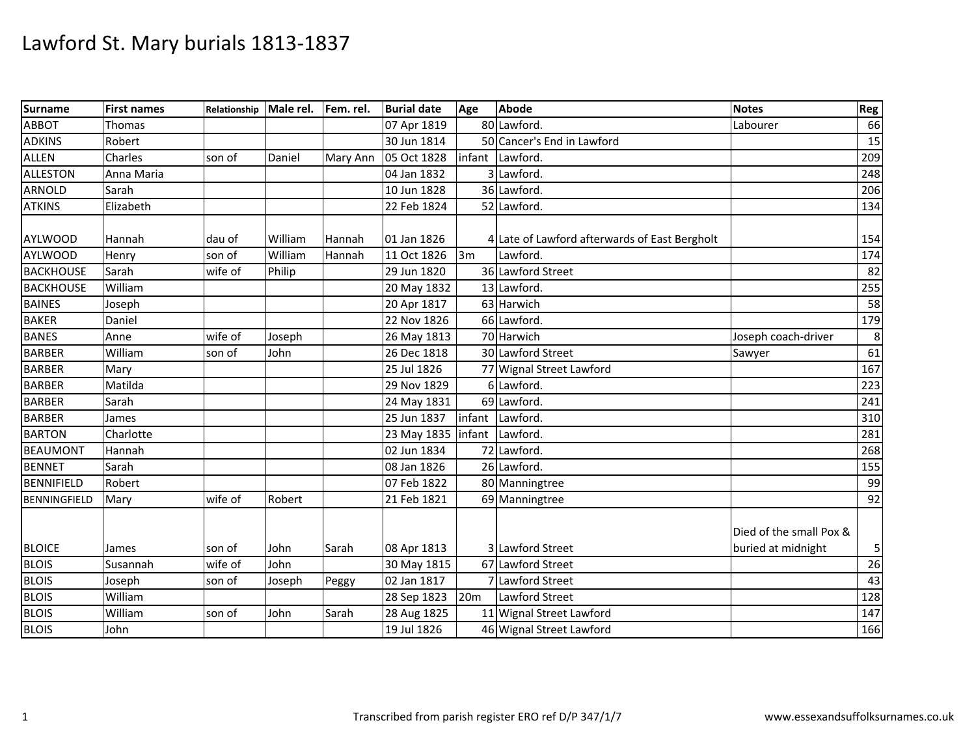| Surname             | <b>First names</b> | Relationship | Male rel. | Fem. rel. | <b>Burial date</b> | Age    | Abode                                         | <b>Notes</b>                                  | Reg |
|---------------------|--------------------|--------------|-----------|-----------|--------------------|--------|-----------------------------------------------|-----------------------------------------------|-----|
| ABBOT               | Thomas             |              |           |           | 07 Apr 1819        |        | 80 Lawford.                                   | Labourer                                      | 66  |
| <b>ADKINS</b>       | Robert             |              |           |           | 30 Jun 1814        |        | 50 Cancer's End in Lawford                    |                                               | 15  |
| <b>ALLEN</b>        | Charles            | son of       | Daniel    | Mary Ann  | 05 Oct 1828        | infant | Lawford.                                      |                                               | 209 |
| <b>ALLESTON</b>     | Anna Maria         |              |           |           | 04 Jan 1832        |        | 3 Lawford.                                    |                                               | 248 |
| <b>ARNOLD</b>       | Sarah              |              |           |           | 10 Jun 1828        |        | 36 Lawford.                                   |                                               | 206 |
| <b>ATKINS</b>       | Elizabeth          |              |           |           | 22 Feb 1824        |        | 52 Lawford.                                   |                                               | 134 |
| <b>AYLWOOD</b>      | Hannah             | dau of       | William   | Hannah    | 01 Jan 1826        |        | 4 Late of Lawford afterwards of East Bergholt |                                               | 154 |
| <b>AYLWOOD</b>      | Henry              | son of       | William   | Hannah    | 11 Oct 1826        | 3m     | Lawford.                                      |                                               | 174 |
| <b>BACKHOUSE</b>    | Sarah              | wife of      | Philip    |           | 29 Jun 1820        |        | 36 Lawford Street                             |                                               | 82  |
| <b>BACKHOUSE</b>    | William            |              |           |           | 20 May 1832        |        | 13 Lawford.                                   |                                               | 255 |
| <b>BAINES</b>       | Joseph             |              |           |           | 20 Apr 1817        |        | 63 Harwich                                    |                                               | 58  |
| <b>BAKER</b>        | Daniel             |              |           |           | 22 Nov 1826        |        | 66 Lawford.                                   |                                               | 179 |
| <b>BANES</b>        | Anne               | wife of      | Joseph    |           | 26 May 1813        |        | 70 Harwich                                    | Joseph coach-driver                           | 8   |
| <b>BARBER</b>       | William            | son of       | John      |           | 26 Dec 1818        |        | 30 Lawford Street                             | Sawyer                                        | 61  |
| <b>BARBER</b>       | Mary               |              |           |           | 25 Jul 1826        |        | 77 Wignal Street Lawford                      |                                               | 167 |
| <b>BARBER</b>       | Matilda            |              |           |           | 29 Nov 1829        |        | 6 Lawford.                                    |                                               | 223 |
| <b>BARBER</b>       | Sarah              |              |           |           | 24 May 1831        |        | 69 Lawford.                                   |                                               | 241 |
| <b>BARBER</b>       | James              |              |           |           | 25 Jun 1837        | infant | Lawford.                                      |                                               | 310 |
| <b>BARTON</b>       | Charlotte          |              |           |           | 23 May 1835        | infant | Lawford.                                      |                                               | 281 |
| <b>BEAUMONT</b>     | Hannah             |              |           |           | 02 Jun 1834        |        | 72 Lawford.                                   |                                               | 268 |
| <b>BENNET</b>       | Sarah              |              |           |           | 08 Jan 1826        |        | 26 Lawford.                                   |                                               | 155 |
| <b>BENNIFIELD</b>   | Robert             |              |           |           | 07 Feb 1822        |        | 80 Manningtree                                |                                               | 99  |
| <b>BENNINGFIELD</b> | Mary               | wife of      | Robert    |           | 21 Feb 1821        |        | 69 Manningtree                                |                                               | 92  |
| <b>BLOICE</b>       | James              | son of       | John      | Sarah     | 08 Apr 1813        |        | 3 Lawford Street                              | Died of the small Pox &<br>buried at midnight | 5   |
| <b>BLOIS</b>        | Susannah           | wife of      | John      |           | 30 May 1815        |        | 67 Lawford Street                             |                                               | 26  |
| <b>BLOIS</b>        | Joseph             | son of       | Joseph    | Peggy     | 02 Jan 1817        |        | 7 Lawford Street                              |                                               | 43  |
| <b>BLOIS</b>        | William            |              |           |           | 28 Sep 1823        | 20m    | Lawford Street                                |                                               | 128 |
| <b>BLOIS</b>        | William            | son of       | John      | Sarah     | 28 Aug 1825        |        | 11 Wignal Street Lawford                      |                                               | 147 |
| <b>BLOIS</b>        | John               |              |           |           | 19 Jul 1826        |        | 46 Wignal Street Lawford                      |                                               | 166 |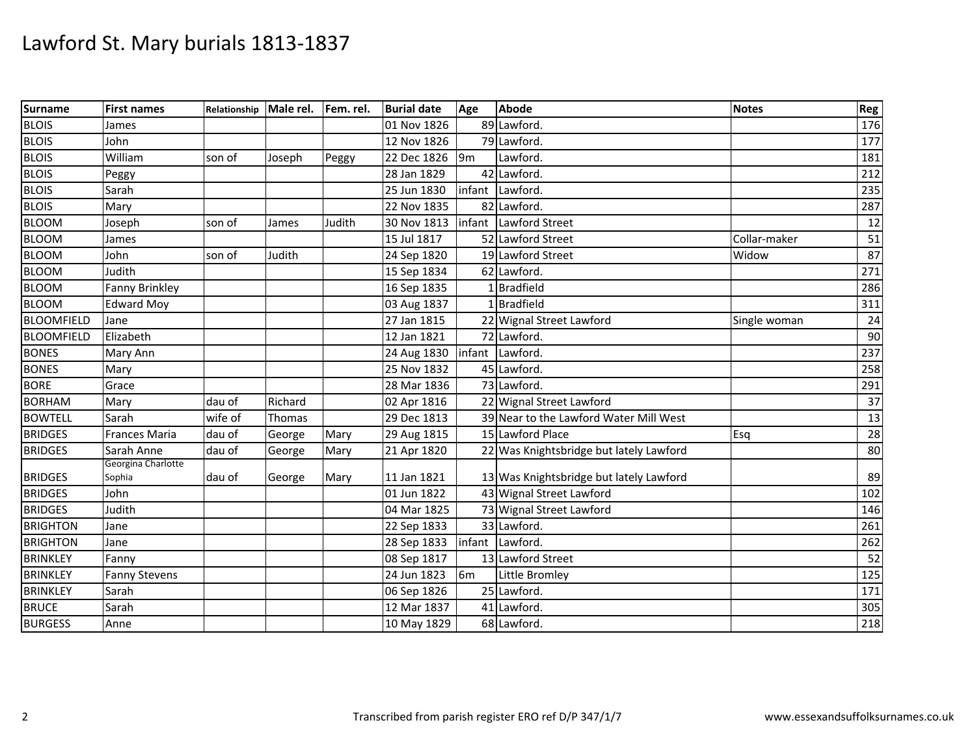| Surname           | <b>First names</b>           | Relationship | Male rel. | Fem. rel. | <b>Burial date</b> | Age            | <b>Abode</b>                            | <b>Notes</b> | Reg              |
|-------------------|------------------------------|--------------|-----------|-----------|--------------------|----------------|-----------------------------------------|--------------|------------------|
| <b>BLOIS</b>      | James                        |              |           |           | 01 Nov 1826        |                | 89 Lawford.                             |              | 176              |
| <b>BLOIS</b>      | John                         |              |           |           | 12 Nov 1826        |                | 79 Lawford                              |              | 177              |
| <b>BLOIS</b>      | William                      | son of       | Joseph    | Peggy     | 22 Dec 1826        | 9 <sub>m</sub> | Lawford.                                |              | 181              |
| <b>BLOIS</b>      | Peggy                        |              |           |           | 28 Jan 1829        |                | 42 Lawford.                             |              | 212              |
| <b>BLOIS</b>      | Sarah                        |              |           |           | 25 Jun 1830        |                | infant Lawford.                         |              | 235              |
| <b>BLOIS</b>      | Mary                         |              |           |           | 22 Nov 1835        |                | 82 Lawford.                             |              | 287              |
| <b>BLOOM</b>      | Joseph                       | son of       | James     | Judith    | 30 Nov 1813        |                | infant Lawford Street                   |              | 12               |
| <b>BLOOM</b>      | James                        |              |           |           | 15 Jul 1817        |                | 52 Lawford Street                       | Collar-maker | 51               |
| <b>BLOOM</b>      | John                         | son of       | Judith    |           | 24 Sep 1820        |                | 19 Lawford Street                       | Widow        | 87               |
| <b>BLOOM</b>      | Judith                       |              |           |           | 15 Sep 1834        |                | 62 Lawford.                             |              | 271              |
| <b>BLOOM</b>      | Fanny Brinkley               |              |           |           | 16 Sep 1835        |                | 1Bradfield                              |              | 286              |
| <b>BLOOM</b>      | <b>Edward Moy</b>            |              |           |           | 03 Aug 1837        |                | 1 Bradfield                             |              | 311              |
| <b>BLOOMFIELD</b> | Jane                         |              |           |           | 27 Jan 1815        |                | 22 Wignal Street Lawford                | Single woman | 24               |
| <b>BLOOMFIELD</b> | Elizabeth                    |              |           |           | 12 Jan 1821        |                | 72 Lawford.                             |              | 90               |
| <b>BONES</b>      | Mary Ann                     |              |           |           | 24 Aug 1830        |                | infant Lawford.                         |              | 237              |
| <b>BONES</b>      | Mary                         |              |           |           | 25 Nov 1832        |                | 45 Lawford                              |              | 258              |
| <b>BORE</b>       | Grace                        |              |           |           | 28 Mar 1836        |                | 73 Lawford.                             |              | 291              |
| <b>BORHAM</b>     | Mary                         | dau of       | Richard   |           | 02 Apr 1816        |                | 22 Wignal Street Lawford                |              | 37               |
| <b>BOWTELL</b>    | Sarah                        | wife of      | Thomas    |           | 29 Dec 1813        |                | 39 Near to the Lawford Water Mill West  |              | 13               |
| <b>BRIDGES</b>    | <b>Frances Maria</b>         | dau of       | George    | Mary      | 29 Aug 1815        |                | 15 Lawford Place                        | Esq          | 28               |
| <b>BRIDGES</b>    | Sarah Anne                   | dau of       | George    | Mary      | 21 Apr 1820        |                | 22 Was Knightsbridge but lately Lawford |              | 80               |
| <b>BRIDGES</b>    | Georgina Charlotte<br>Sophia | dau of       | George    | Mary      | 11 Jan 1821        |                | 13 Was Knightsbridge but lately Lawford |              | 89               |
| <b>BRIDGES</b>    | John                         |              |           |           | 01 Jun 1822        |                | 43 Wignal Street Lawford                |              | 102              |
| <b>BRIDGES</b>    | Judith                       |              |           |           | 04 Mar 1825        |                | 73 Wignal Street Lawford                |              | 146              |
| <b>BRIGHTON</b>   | Jane                         |              |           |           | 22 Sep 1833        |                | 33 Lawford.                             |              | 261              |
| <b>BRIGHTON</b>   | Jane                         |              |           |           | 28 Sep 1833        |                | infant Lawford.                         |              | 262              |
| <b>BRINKLEY</b>   | Fanny                        |              |           |           | 08 Sep 1817        |                | 13 Lawford Street                       |              | 52               |
| <b>BRINKLEY</b>   | <b>Fanny Stevens</b>         |              |           |           | 24 Jun 1823        | 6m             | Little Bromley                          |              | 125              |
| <b>BRINKLEY</b>   | Sarah                        |              |           |           | 06 Sep 1826        |                | 25 Lawford.                             |              | 171              |
| <b>BRUCE</b>      | Sarah                        |              |           |           | 12 Mar 1837        |                | 41 Lawford.                             |              | 305              |
| <b>BURGESS</b>    | Anne                         |              |           |           | 10 May 1829        |                | 68 Lawford.                             |              | $\overline{218}$ |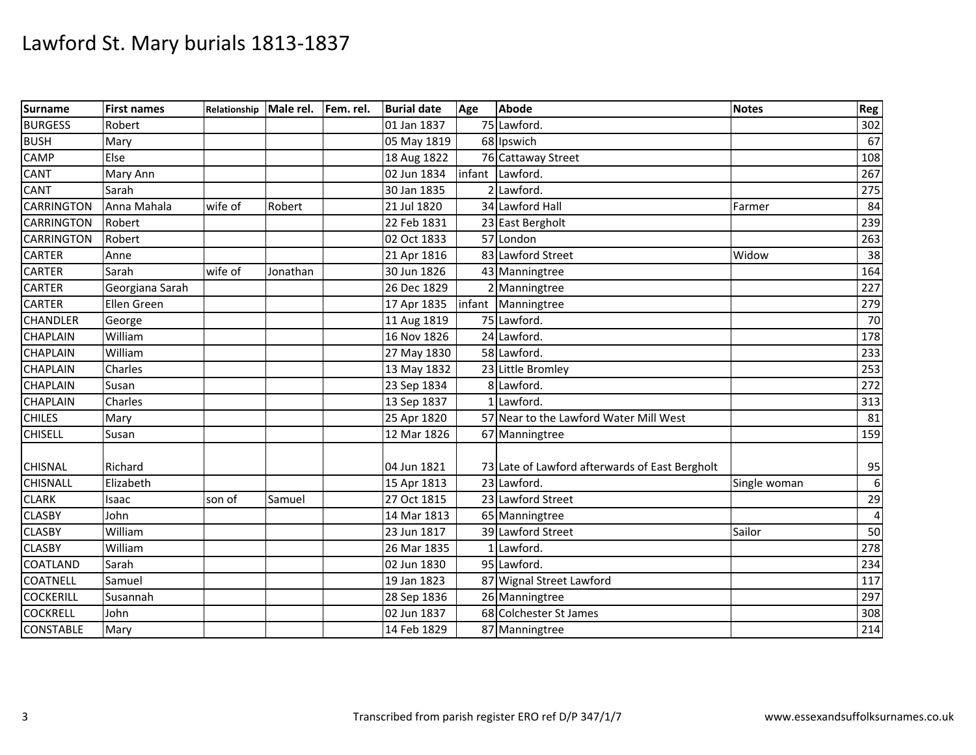| Surname           | <b>First names</b> | Relationship Male rel. |          | Fem. rel. | <b>Burial date</b> | Age    | Abode                                          | <b>Notes</b> | Reg |
|-------------------|--------------------|------------------------|----------|-----------|--------------------|--------|------------------------------------------------|--------------|-----|
| <b>BURGESS</b>    | Robert             |                        |          |           | 01 Jan 1837        |        | 75 Lawford.                                    |              | 302 |
| <b>BUSH</b>       | Mary               |                        |          |           | 05 May 1819        |        | 68 Ipswich                                     |              | 67  |
| <b>CAMP</b>       | Else               |                        |          |           | 18 Aug 1822        |        | 76 Cattaway Street                             |              | 108 |
| <b>CANT</b>       | Mary Ann           |                        |          |           | 02 Jun 1834        | infant | Lawford.                                       |              | 267 |
| <b>CANT</b>       | Sarah              |                        |          |           | 30 Jan 1835        |        | 2 Lawford.                                     |              | 275 |
| <b>CARRINGTON</b> | Anna Mahala        | wife of                | Robert   |           | 21 Jul 1820        |        | 34 Lawford Hall                                | Farmer       | 84  |
| <b>CARRINGTON</b> | Robert             |                        |          |           | 22 Feb 1831        |        | 23 East Bergholt                               |              | 239 |
| <b>CARRINGTON</b> | Robert             |                        |          |           | 02 Oct 1833        |        | 57 London                                      |              | 263 |
| <b>CARTER</b>     | Anne               |                        |          |           | 21 Apr 1816        |        | 83 Lawford Street                              | Widow        | 38  |
| <b>CARTER</b>     | Sarah              | wife of                | Jonathan |           | 30 Jun 1826        |        | 43 Manningtree                                 |              | 164 |
| <b>CARTER</b>     | Georgiana Sarah    |                        |          |           | 26 Dec 1829        |        | 2 Manningtree                                  |              | 227 |
| <b>CARTER</b>     | Ellen Green        |                        |          |           | 17 Apr 1835        |        | infant Manningtree                             |              | 279 |
| <b>CHANDLER</b>   | George             |                        |          |           | 11 Aug 1819        |        | 75 Lawford.                                    |              | 70  |
| <b>CHAPLAIN</b>   | William            |                        |          |           | 16 Nov 1826        |        | 24 Lawford.                                    |              | 178 |
| <b>CHAPLAIN</b>   | William            |                        |          |           | 27 May 1830        |        | 58 Lawford.                                    |              | 233 |
| <b>CHAPLAIN</b>   | Charles            |                        |          |           | 13 May 1832        |        | 23 Little Bromley                              |              | 253 |
| <b>CHAPLAIN</b>   | Susan              |                        |          |           | 23 Sep 1834        |        | 8 Lawford.                                     |              | 272 |
| <b>CHAPLAIN</b>   | Charles            |                        |          |           | 13 Sep 1837        |        | 1 Lawford.                                     |              | 313 |
| <b>CHILES</b>     | Mary               |                        |          |           | 25 Apr 1820        |        | 57 Near to the Lawford Water Mill West         |              | 81  |
| <b>CHISELL</b>    | Susan              |                        |          |           | 12 Mar 1826        |        | 67 Manningtree                                 |              | 159 |
|                   |                    |                        |          |           |                    |        |                                                |              |     |
| <b>CHISNAL</b>    | Richard            |                        |          |           | 04 Jun 1821        |        | 73 Late of Lawford afterwards of East Bergholt |              | 95  |
| <b>CHISNALL</b>   | Elizabeth          |                        |          |           | 15 Apr 1813        |        | 23 Lawford.                                    | Single woman | 6   |
| <b>CLARK</b>      | <b>Isaac</b>       | son of                 | Samuel   |           | 27 Oct 1815        |        | 23 Lawford Street                              |              | 29  |
| <b>CLASBY</b>     | John               |                        |          |           | 14 Mar 1813        |        | 65 Manningtree                                 |              | 4   |
| <b>CLASBY</b>     | William            |                        |          |           | 23 Jun 1817        |        | 39 Lawford Street                              | Sailor       | 50  |
| <b>CLASBY</b>     | William            |                        |          |           | 26 Mar 1835        |        | 1 Lawford.                                     |              | 278 |
| <b>COATLAND</b>   | Sarah              |                        |          |           | 02 Jun 1830        |        | 95 Lawford.                                    |              | 234 |
| <b>COATNELL</b>   | Samuel             |                        |          |           | 19 Jan 1823        |        | 87 Wignal Street Lawford                       |              | 117 |
| <b>COCKERILL</b>  | Susannah           |                        |          |           | 28 Sep 1836        |        | 26 Manningtree                                 |              | 297 |
| <b>COCKRELL</b>   | John               |                        |          |           | 02 Jun 1837        |        | 68 Colchester St James                         |              | 308 |
| <b>CONSTABLE</b>  | Mary               |                        |          |           | 14 Feb 1829        |        | 87 Manningtree                                 |              | 214 |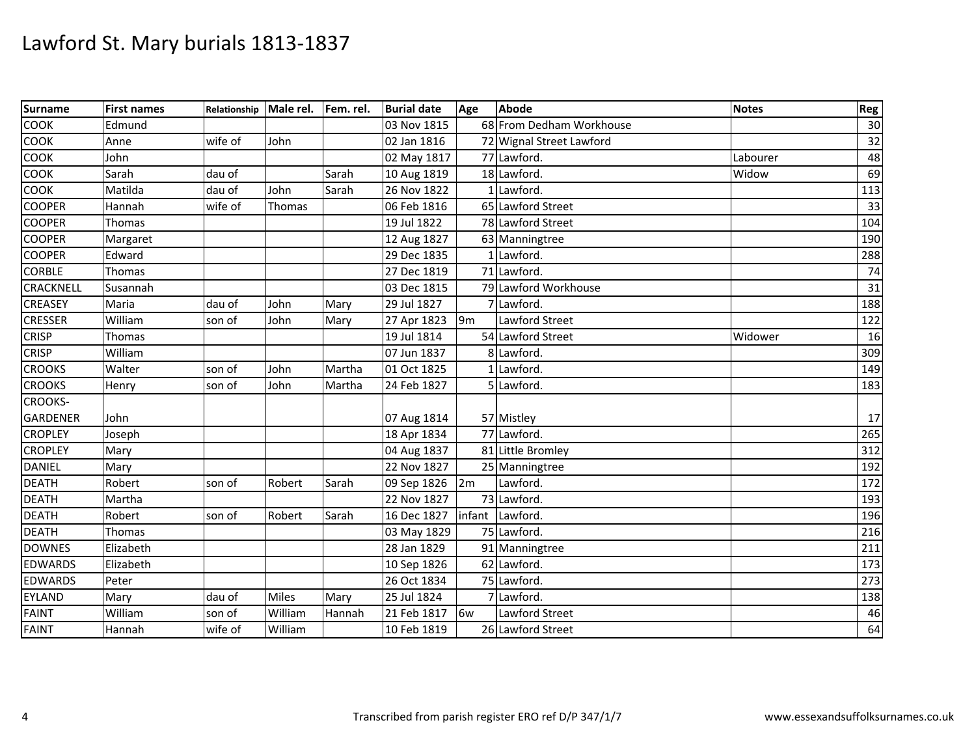| <b>Surname</b>   | <b>First names</b> | Relationship | Male rel.    | Fem. rel. | <b>Burial date</b> | Age            | Abode                    | <b>Notes</b> | Reg             |
|------------------|--------------------|--------------|--------------|-----------|--------------------|----------------|--------------------------|--------------|-----------------|
| <b>COOK</b>      | Edmund             |              |              |           | 03 Nov 1815        |                | 68 From Dedham Workhouse |              | 30              |
| <b>COOK</b>      | Anne               | wife of      | John         |           | 02 Jan 1816        |                | 72 Wignal Street Lawford |              | 32              |
| COOK             | John               |              |              |           | 02 May 1817        |                | 77 Lawford.              | Labourer     | 48              |
| <b>COOK</b>      | Sarah              | dau of       |              | Sarah     | 10 Aug 1819        |                | 18 Lawford.              | Widow        | 69              |
| <b>COOK</b>      | Matilda            | dau of       | John         | Sarah     | 26 Nov 1822        |                | 1 Lawford.               |              | 113             |
| <b>COOPER</b>    | Hannah             | wife of      | Thomas       |           | 06 Feb 1816        |                | 65 Lawford Street        |              | 33              |
| <b>COOPER</b>    | Thomas             |              |              |           | 19 Jul 1822        |                | 78 Lawford Street        |              | 104             |
| <b>COOPER</b>    | Margaret           |              |              |           | 12 Aug 1827        |                | 63 Manningtree           |              | 190             |
| <b>COOPER</b>    | Edward             |              |              |           | 29 Dec 1835        |                | 1 Lawford.               |              | 288             |
| <b>CORBLE</b>    | Thomas             |              |              |           | 27 Dec 1819        |                | 71 Lawford.              |              | 74              |
| <b>CRACKNELL</b> | Susannah           |              |              |           | 03 Dec 1815        |                | 79 Lawford Workhouse     |              | $\overline{31}$ |
| <b>CREASEY</b>   | Maria              | dau of       | John         | Mary      | 29 Jul 1827        |                | 7 Lawford.               |              | 188             |
| <b>CRESSER</b>   | William            | son of       | John         | Mary      | 27 Apr 1823        | 9 <sub>m</sub> | Lawford Street           |              | 122             |
| <b>CRISP</b>     | Thomas             |              |              |           | 19 Jul 1814        |                | 54 Lawford Street        | Widower      | 16              |
| <b>CRISP</b>     | William            |              |              |           | 07 Jun 1837        |                | 8 Lawford.               |              | 309             |
| <b>CROOKS</b>    | Walter             | son of       | John         | Martha    | 01 Oct 1825        |                | 1 Lawford.               |              | 149             |
| <b>CROOKS</b>    | Henry              | son of       | John         | Martha    | 24 Feb 1827        |                | 5 Lawford.               |              | 183             |
| <b>CROOKS-</b>   |                    |              |              |           |                    |                |                          |              |                 |
| <b>GARDENER</b>  | John               |              |              |           | 07 Aug 1814        |                | 57 Mistley               |              | 17              |
| <b>CROPLEY</b>   | Joseph             |              |              |           | 18 Apr 1834        |                | 77 Lawford.              |              | 265             |
| <b>CROPLEY</b>   | Mary               |              |              |           | 04 Aug 1837        |                | 81 Little Bromley        |              | 312             |
| <b>DANIEL</b>    | Mary               |              |              |           | 22 Nov 1827        |                | 25 Manningtree           |              | 192             |
| <b>DEATH</b>     | Robert             | son of       | Robert       | Sarah     | 09 Sep 1826        | 2m             | Lawford.                 |              | 172             |
| <b>DEATH</b>     | Martha             |              |              |           | 22 Nov 1827        |                | 73 Lawford.              |              | 193             |
| <b>DEATH</b>     | Robert             | son of       | Robert       | Sarah     | 16 Dec 1827        |                | infant Lawford.          |              | 196             |
| <b>DEATH</b>     | Thomas             |              |              |           | 03 May 1829        |                | 75 Lawford.              |              | 216             |
| <b>DOWNES</b>    | Elizabeth          |              |              |           | 28 Jan 1829        |                | 91 Manningtree           |              | 211             |
| <b>EDWARDS</b>   | Elizabeth          |              |              |           | 10 Sep 1826        |                | 62 Lawford.              |              | 173             |
| <b>EDWARDS</b>   | Peter              |              |              |           | 26 Oct 1834        |                | 75 Lawford.              |              | 273             |
| <b>EYLAND</b>    | Mary               | dau of       | <b>Miles</b> | Mary      | 25 Jul 1824        |                | 7 Lawford.               |              | 138             |
| <b>FAINT</b>     | William            | son of       | William      | Hannah    | 21 Feb 1817        | 6w             | Lawford Street           |              | 46              |
| <b>FAINT</b>     | Hannah             | wife of      | William      |           | 10 Feb 1819        |                | 26 Lawford Street        |              | 64              |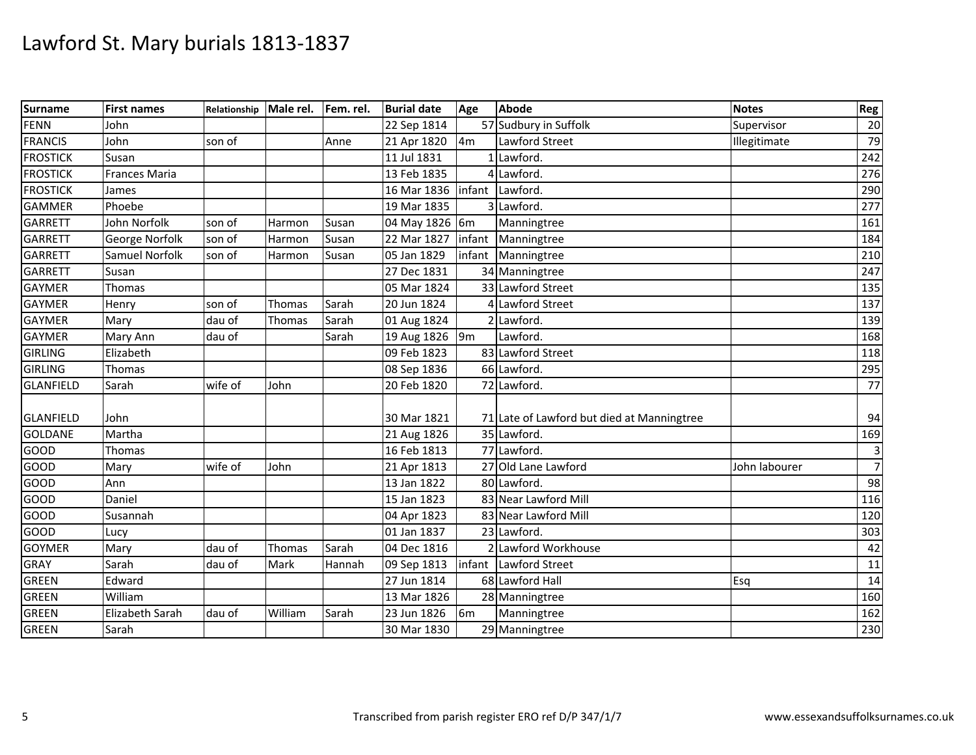| Surname          | <b>First names</b>   | Relationship | Male rel.   | Fem. rel. | <b>Burial date</b> | Age            | Abode                                      | <b>Notes</b>  | Reg            |
|------------------|----------------------|--------------|-------------|-----------|--------------------|----------------|--------------------------------------------|---------------|----------------|
| <b>FENN</b>      | John                 |              |             |           | 22 Sep 1814        |                | 57 Sudbury in Suffolk                      | Supervisor    | 20             |
| <b>FRANCIS</b>   | John                 | son of       |             | Anne      | 21 Apr 1820        | 4m             | Lawford Street                             | Illegitimate  | 79             |
| <b>FROSTICK</b>  | Susan                |              |             |           | 11 Jul 1831        |                | 1 Lawford.                                 |               | 242            |
| <b>FROSTICK</b>  | <b>Frances Maria</b> |              |             |           | 13 Feb 1835        |                | 4 Lawford.                                 |               | 276            |
| <b>FROSTICK</b>  | James                |              |             |           | 16 Mar 1836        |                | infant Lawford.                            |               | 290            |
| <b>GAMMER</b>    | Phoebe               |              |             |           | 19 Mar 1835        |                | 3 Lawford.                                 |               | 277            |
| <b>GARRETT</b>   | John Norfolk         | son of       | Harmon      | Susan     | 04 May 1826 6m     |                | Manningtree                                |               | 161            |
| <b>GARRETT</b>   | George Norfolk       | son of       | Harmon      | Susan     | 22 Mar 1827        | infant         | Manningtree                                |               | 184            |
| <b>GARRETT</b>   | Samuel Norfolk       | son of       | Harmon      | Susan     | 05 Jan 1829        | infant         | Manningtree                                |               | 210            |
| <b>GARRETT</b>   | Susan                |              |             |           | 27 Dec 1831        |                | 34 Manningtree                             |               | 247            |
| <b>GAYMER</b>    | Thomas               |              |             |           | 05 Mar 1824        |                | 33 Lawford Street                          |               | 135            |
| <b>GAYMER</b>    | Henry                | son of       | Thomas      | Sarah     | 20 Jun 1824        |                | 4 Lawford Street                           |               | 137            |
| <b>GAYMER</b>    | Mary                 | dau of       | Thomas      | Sarah     | 01 Aug 1824        |                | 2 Lawford.                                 |               | 139            |
| <b>GAYMER</b>    | Mary Ann             | dau of       |             | Sarah     | 19 Aug 1826        | 9m             | Lawford.                                   |               | 168            |
| <b>GIRLING</b>   | Elizabeth            |              |             |           | 09 Feb 1823        |                | 83 Lawford Street                          |               | 118            |
| <b>GIRLING</b>   | Thomas               |              |             |           | 08 Sep 1836        |                | 66 Lawford.                                |               | 295            |
| <b>GLANFIELD</b> | Sarah                | wife of      | John        |           | 20 Feb 1820        |                | 72 Lawford.                                |               | 77             |
|                  |                      |              |             |           |                    |                |                                            |               |                |
| <b>GLANFIELD</b> | John                 |              |             |           | 30 Mar 1821        |                | 71 Late of Lawford but died at Manningtree |               | 94             |
| <b>GOLDANE</b>   | Martha               |              |             |           | 21 Aug 1826        |                | 35 Lawford.                                |               | 169            |
| <b>GOOD</b>      | Thomas               |              |             |           | 16 Feb 1813        |                | 77 Lawford.                                |               | $\mathsf 3$    |
| <b>GOOD</b>      | Mary                 | wife of      | John        |           | 21 Apr 1813        |                | 27 Old Lane Lawford                        | John labourer | $\overline{7}$ |
| GOOD             | Ann                  |              |             |           | 13 Jan 1822        |                | 80 Lawford.                                |               | 98             |
| GOOD             | Daniel               |              |             |           | 15 Jan 1823        |                | 83 Near Lawford Mill                       |               | 116            |
| GOOD             | Susannah             |              |             |           | 04 Apr 1823        |                | 83 Near Lawford Mill                       |               | 120            |
| <b>GOOD</b>      | Lucy                 |              |             |           | 01 Jan 1837        |                | 23 Lawford.                                |               | 303            |
| <b>GOYMER</b>    | Mary                 | dau of       | Thomas      | Sarah     | 04 Dec 1816        |                | 2 Lawford Workhouse                        |               | 42             |
| <b>GRAY</b>      | Sarah                | dau of       | <b>Mark</b> | Hannah    | 09 Sep 1813        |                | infant Lawford Street                      |               | 11             |
| <b>GREEN</b>     | Edward               |              |             |           | 27 Jun 1814        |                | 68 Lawford Hall                            | Esq           | 14             |
| <b>GREEN</b>     | William              |              |             |           | 13 Mar 1826        |                | 28 Manningtree                             |               | 160            |
| <b>GREEN</b>     | Elizabeth Sarah      | dau of       | William     | Sarah     | 23 Jun 1826        | 6 <sub>m</sub> | Manningtree                                |               | 162            |
| <b>GREEN</b>     | Sarah                |              |             |           | 30 Mar 1830        |                | 29 Manningtree                             |               | 230            |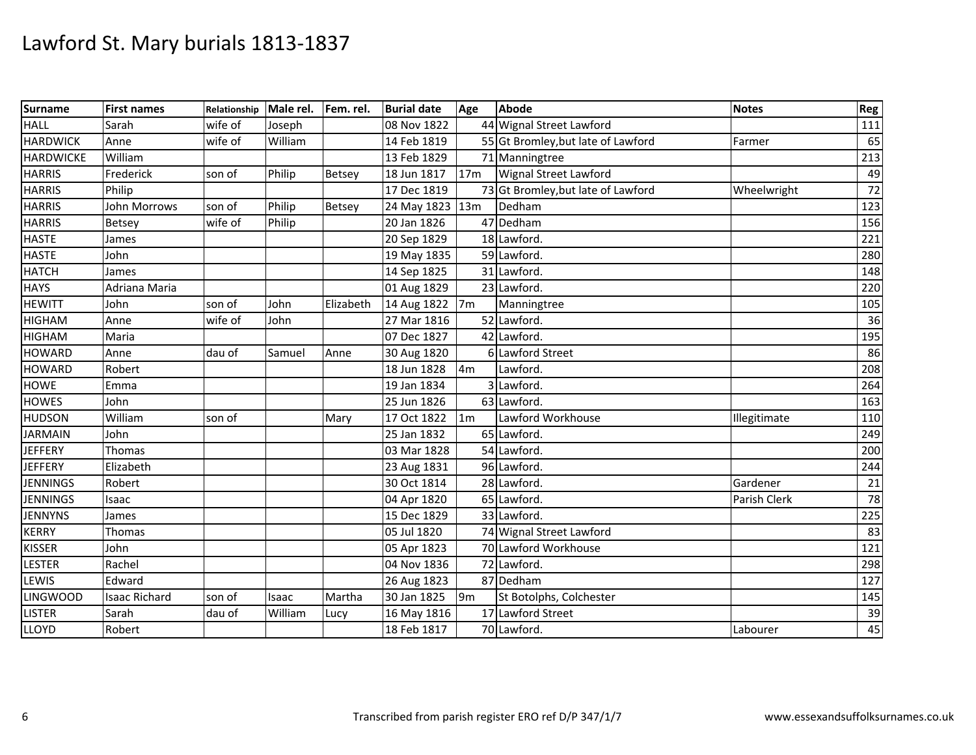| Surname          | <b>First names</b>   | Relationship | Male rel. | Fem. rel.     | <b>Burial date</b> | Age             | <b>Abode</b>                       | <b>Notes</b> | Reg |
|------------------|----------------------|--------------|-----------|---------------|--------------------|-----------------|------------------------------------|--------------|-----|
| <b>HALL</b>      | Sarah                | wife of      | Joseph    |               | 08 Nov 1822        |                 | 44 Wignal Street Lawford           |              | 111 |
| <b>HARDWICK</b>  | Anne                 | wife of      | William   |               | 14 Feb 1819        |                 | 55 Gt Bromley, but late of Lawford | Farmer       | 65  |
| <b>HARDWICKE</b> | William              |              |           |               | 13 Feb 1829        |                 | 71 Manningtree                     |              | 213 |
| <b>HARRIS</b>    | Frederick            | son of       | Philip    | Betsey        | 18 Jun 1817        | 17 <sub>m</sub> | Wignal Street Lawford              |              | 49  |
| <b>HARRIS</b>    | Philip               |              |           |               | 17 Dec 1819        |                 | 73 Gt Bromley, but late of Lawford | Wheelwright  | 72  |
| <b>HARRIS</b>    | John Morrows         | son of       | Philip    | <b>Betsey</b> | 24 May 1823        | 13m             | Dedham                             |              | 123 |
| <b>HARRIS</b>    | Betsey               | wife of      | Philip    |               | 20 Jan 1826        |                 | 47 Dedham                          |              | 156 |
| <b>HASTE</b>     | James                |              |           |               | 20 Sep 1829        |                 | 18 Lawford.                        |              | 221 |
| <b>HASTE</b>     | John                 |              |           |               | 19 May 1835        |                 | 59 Lawford.                        |              | 280 |
| <b>HATCH</b>     | James                |              |           |               | 14 Sep 1825        |                 | 31 Lawford.                        |              | 148 |
| <b>HAYS</b>      | Adriana Maria        |              |           |               | 01 Aug 1829        |                 | 23 Lawford                         |              | 220 |
| <b>HEWITT</b>    | John                 | son of       | John      | Elizabeth     | 14 Aug 1822        | 7 <sub>m</sub>  | Manningtree                        |              | 105 |
| <b>HIGHAM</b>    | Anne                 | wife of      | John      |               | 27 Mar 1816        |                 | 52 Lawford.                        |              | 36  |
| <b>HIGHAM</b>    | Maria                |              |           |               | 07 Dec 1827        |                 | 42 Lawford.                        |              | 195 |
| <b>HOWARD</b>    | Anne                 | dau of       | Samuel    | Anne          | 30 Aug 1820        |                 | 6 Lawford Street                   |              | 86  |
| <b>HOWARD</b>    | Robert               |              |           |               | 18 Jun 1828        | 4 <sub>m</sub>  | Lawford.                           |              | 208 |
| <b>HOWE</b>      | Emma                 |              |           |               | 19 Jan 1834        |                 | 3 Lawford                          |              | 264 |
| <b>HOWES</b>     | John                 |              |           |               | 25 Jun 1826        |                 | 63 Lawford.                        |              | 163 |
| <b>HUDSON</b>    | William              | son of       |           | Mary          | 17 Oct 1822        | 1 <sub>m</sub>  | Lawford Workhouse                  | Illegitimate | 110 |
| <b>JARMAIN</b>   | John                 |              |           |               | 25 Jan 1832        |                 | 65 Lawford.                        |              | 249 |
| <b>JEFFERY</b>   | Thomas               |              |           |               | 03 Mar 1828        |                 | 54 Lawford                         |              | 200 |
| <b>JEFFERY</b>   | Elizabeth            |              |           |               | 23 Aug 1831        |                 | 96 Lawford.                        |              | 244 |
| <b>JENNINGS</b>  | Robert               |              |           |               | 30 Oct 1814        |                 | 28 Lawford.                        | Gardener     | 21  |
| <b>JENNINGS</b>  | Isaac                |              |           |               | 04 Apr 1820        |                 | 65 Lawford.                        | Parish Clerk | 78  |
| <b>JENNYNS</b>   | James                |              |           |               | 15 Dec 1829        |                 | 33 Lawford.                        |              | 225 |
| <b>KERRY</b>     | Thomas               |              |           |               | 05 Jul 1820        |                 | 74 Wignal Street Lawford           |              | 83  |
| <b>KISSER</b>    | John                 |              |           |               | 05 Apr 1823        |                 | 70 Lawford Workhouse               |              | 121 |
| <b>LESTER</b>    | Rachel               |              |           |               | 04 Nov 1836        |                 | 72 Lawford.                        |              | 298 |
| <b>LEWIS</b>     | Edward               |              |           |               | 26 Aug 1823        |                 | 87 Dedham                          |              | 127 |
| <b>LINGWOOD</b>  | <b>Isaac Richard</b> | son of       | Isaac     | Martha        | 30 Jan 1825        | 9 <sub>m</sub>  | St Botolphs, Colchester            |              | 145 |
| <b>LISTER</b>    | Sarah                | dau of       | William   | Lucy          | 16 May 1816        |                 | 17 Lawford Street                  |              | 39  |
| <b>LLOYD</b>     | Robert               |              |           |               | 18 Feb 1817        |                 | 70 Lawford.                        | Labourer     | 45  |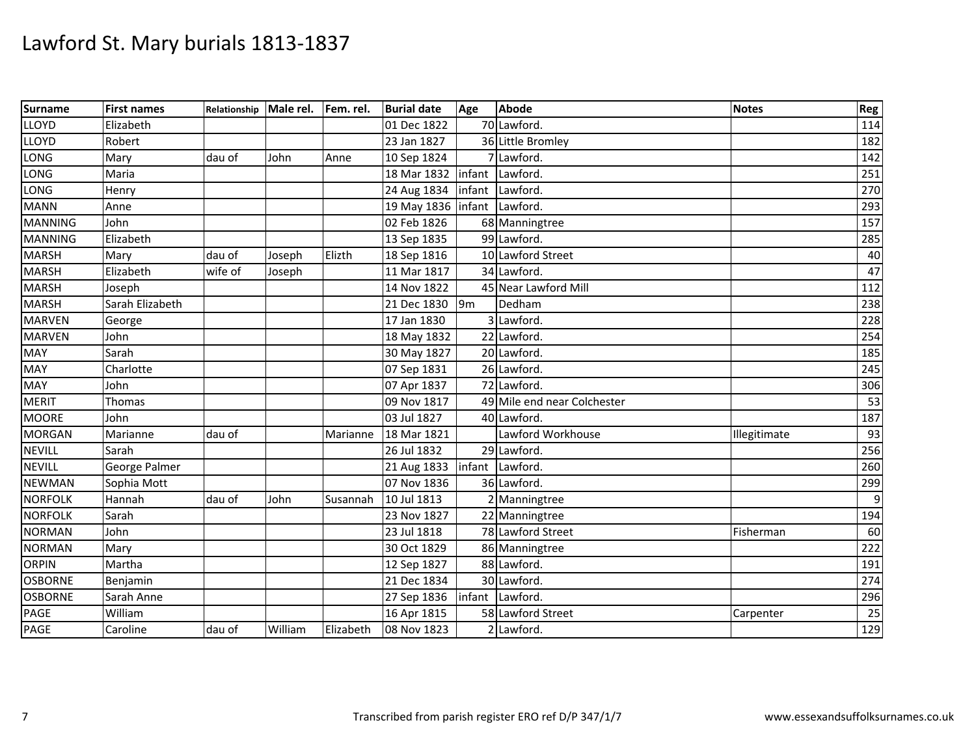| Surname        | <b>First names</b> | Relationship | Male rel. | Fem. rel. | <b>Burial date</b>          | Age            | Abode                       | <b>Notes</b> | Reg |
|----------------|--------------------|--------------|-----------|-----------|-----------------------------|----------------|-----------------------------|--------------|-----|
| <b>LLOYD</b>   | Elizabeth          |              |           |           | 01 Dec 1822                 |                | 70 Lawford.                 |              | 114 |
| <b>LLOYD</b>   | Robert             |              |           |           | 23 Jan 1827                 |                | 36 Little Bromley           |              | 182 |
| LONG           | Mary               | dau of       | John      | Anne      | 10 Sep 1824                 |                | 7 Lawford.                  |              | 142 |
| LONG           | Maria              |              |           |           | 18 Mar 1832                 | infant         | Lawford.                    |              | 251 |
| LONG           | Henry              |              |           |           | 24 Aug 1834                 |                | infant Lawford.             |              | 270 |
| <b>MANN</b>    | Anne               |              |           |           | 19 May 1836 Infant Lawford. |                |                             |              | 293 |
| <b>MANNING</b> | John               |              |           |           | 02 Feb 1826                 |                | 68 Manningtree              |              | 157 |
| <b>MANNING</b> | Elizabeth          |              |           |           | 13 Sep 1835                 |                | 99 Lawford.                 |              | 285 |
| <b>MARSH</b>   | Mary               | dau of       | Joseph    | Elizth    | 18 Sep 1816                 |                | 10 Lawford Street           |              | 40  |
| <b>MARSH</b>   | Elizabeth          | wife of      | Joseph    |           | 11 Mar 1817                 |                | 34 Lawford.                 |              | 47  |
| <b>MARSH</b>   | Joseph             |              |           |           | 14 Nov 1822                 |                | 45 Near Lawford Mill        |              | 112 |
| <b>MARSH</b>   | Sarah Elizabeth    |              |           |           | 21 Dec 1830                 | 9 <sub>m</sub> | Dedham                      |              | 238 |
| <b>MARVEN</b>  | George             |              |           |           | 17 Jan 1830                 |                | 3 Lawford.                  |              | 228 |
| <b>MARVEN</b>  | John               |              |           |           | 18 May 1832                 |                | 22 Lawford.                 |              | 254 |
| <b>MAY</b>     | Sarah              |              |           |           | 30 May 1827                 |                | 20 Lawford.                 |              | 185 |
| <b>MAY</b>     | Charlotte          |              |           |           | 07 Sep 1831                 |                | 26 Lawford.                 |              | 245 |
| MAY            | John               |              |           |           | 07 Apr 1837                 |                | 72 Lawford.                 |              | 306 |
| <b>MERIT</b>   | Thomas             |              |           |           | 09 Nov 1817                 |                | 49 Mile end near Colchester |              | 53  |
| <b>MOORE</b>   | John               |              |           |           | 03 Jul 1827                 |                | 40 Lawford.                 |              | 187 |
| <b>MORGAN</b>  | Marianne           | dau of       |           | Marianne  | 18 Mar 1821                 |                | Lawford Workhouse           | Illegitimate | 93  |
| <b>NEVILL</b>  | Sarah              |              |           |           | 26 Jul 1832                 |                | 29 Lawford                  |              | 256 |
| <b>NEVILL</b>  | George Palmer      |              |           |           | 21 Aug 1833                 |                | infant Lawford              |              | 260 |
| <b>NEWMAN</b>  | Sophia Mott        |              |           |           | 07 Nov 1836                 |                | 36 Lawford.                 |              | 299 |
| <b>NORFOLK</b> | Hannah             | dau of       | John      | Susannah  | 10 Jul 1813                 |                | 2 Manningtree               |              |     |
| <b>NORFOLK</b> | Sarah              |              |           |           | 23 Nov 1827                 |                | 22 Manningtree              |              | 194 |
| <b>NORMAN</b>  | John               |              |           |           | 23 Jul 1818                 |                | 78 Lawford Street           | Fisherman    | 60  |
| <b>NORMAN</b>  | Mary               |              |           |           | 30 Oct 1829                 |                | 86 Manningtree              |              | 222 |
| <b>ORPIN</b>   | Martha             |              |           |           | 12 Sep 1827                 |                | 88 Lawford.                 |              | 191 |
| <b>OSBORNE</b> | Benjamin           |              |           |           | 21 Dec 1834                 |                | 30 Lawford.                 |              | 274 |
| <b>OSBORNE</b> | Sarah Anne         |              |           |           | 27 Sep 1836                 |                | infant Lawford.             |              | 296 |
| PAGE           | William            |              |           |           | 16 Apr 1815                 |                | 58 Lawford Street           | Carpenter    | 25  |
| <b>PAGE</b>    | Caroline           | dau of       | William   | Elizabeth | 08 Nov 1823                 |                | 2 Lawford.                  |              | 129 |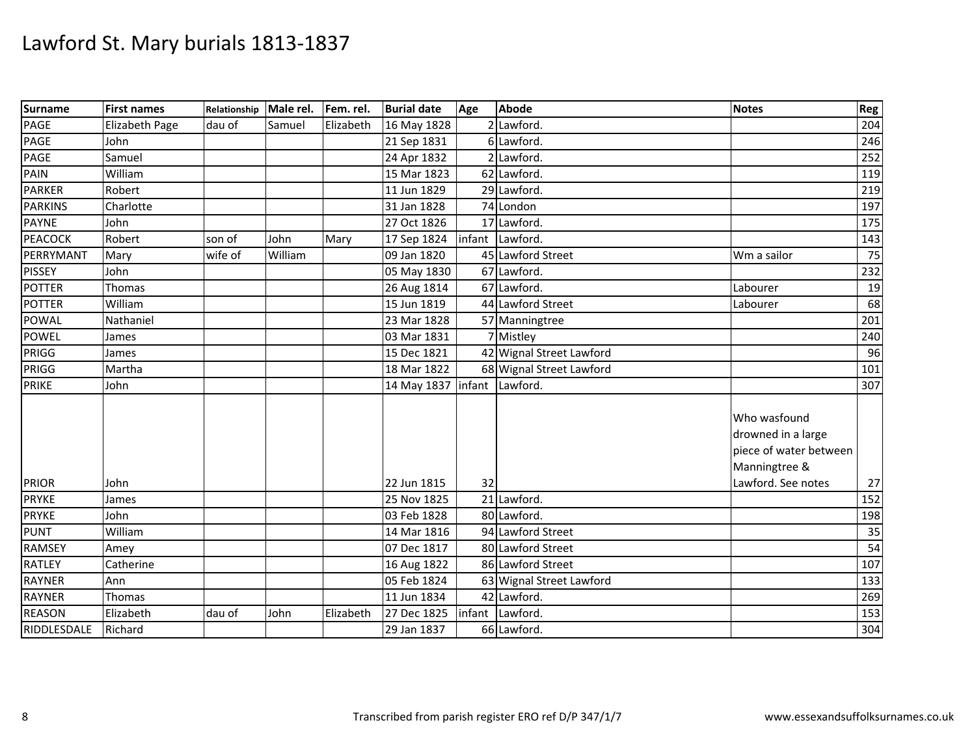| <b>Surname</b> | <b>First names</b>    | Relationship | Male rel. | Fem. rel. | <b>Burial date</b> | Age | <b>Abode</b>             | <b>Notes</b>                                                                  | Reg             |
|----------------|-----------------------|--------------|-----------|-----------|--------------------|-----|--------------------------|-------------------------------------------------------------------------------|-----------------|
| PAGE           | <b>Elizabeth Page</b> | dau of       | Samuel    | Elizabeth | 16 May 1828        |     | 2 Lawford.               |                                                                               | 204             |
| PAGE           | John                  |              |           |           | 21 Sep 1831        |     | 6 Lawford.               |                                                                               | 246             |
| PAGE           | Samuel                |              |           |           | 24 Apr 1832        |     | 2 Lawford.               |                                                                               | 252             |
| PAIN           | William               |              |           |           | 15 Mar 1823        |     | 62 Lawford.              |                                                                               | 119             |
| <b>PARKER</b>  | Robert                |              |           |           | 11 Jun 1829        |     | 29 Lawford.              |                                                                               | 219             |
| <b>PARKINS</b> | Charlotte             |              |           |           | 31 Jan 1828        |     | 74 London                |                                                                               | 197             |
| <b>PAYNE</b>   | John                  |              |           |           | 27 Oct 1826        |     | 17 Lawford.              |                                                                               | 175             |
| <b>PEACOCK</b> | Robert                | son of       | John      | Mary      | 17 Sep 1824        |     | infant Lawford.          |                                                                               | 143             |
| PERRYMANT      | Mary                  | wife of      | William   |           | 09 Jan 1820        |     | 45 Lawford Street        | Wm a sailor                                                                   | 75              |
| <b>PISSEY</b>  | John                  |              |           |           | 05 May 1830        |     | 67 Lawford.              |                                                                               | 232             |
| <b>POTTER</b>  | Thomas                |              |           |           | 26 Aug 1814        |     | 67 Lawford.              | Labourer                                                                      | 19              |
| <b>POTTER</b>  | William               |              |           |           | 15 Jun 1819        |     | 44 Lawford Street        | Labourer                                                                      | 68              |
| <b>POWAL</b>   | Nathaniel             |              |           |           | 23 Mar 1828        |     | 57 Manningtree           |                                                                               | 201             |
| <b>POWEL</b>   | James                 |              |           |           | 03 Mar 1831        |     | 7 Mistley                |                                                                               | 240             |
| PRIGG          | James                 |              |           |           | 15 Dec 1821        |     | 42 Wignal Street Lawford |                                                                               | 96              |
| PRIGG          | Martha                |              |           |           | 18 Mar 1822        |     | 68 Wignal Street Lawford |                                                                               | 101             |
| <b>PRIKE</b>   | John                  |              |           |           | 14 May 1837        |     | infant Lawford.          |                                                                               | 307             |
|                |                       |              |           |           |                    |     |                          | Who wasfound<br>drowned in a large<br>piece of water between<br>Manningtree & |                 |
| <b>PRIOR</b>   | John                  |              |           |           | 22 Jun 1815        | 32  |                          | Lawford. See notes                                                            | 27              |
| <b>PRYKE</b>   | James                 |              |           |           | 25 Nov 1825        |     | 21 Lawford.              |                                                                               | 152             |
| <b>PRYKE</b>   | John                  |              |           |           | 03 Feb 1828        |     | 80 Lawford.              |                                                                               | 198             |
| <b>PUNT</b>    | William               |              |           |           | 14 Mar 1816        |     | 94 Lawford Street        |                                                                               | 35              |
| <b>RAMSEY</b>  | Amey                  |              |           |           | 07 Dec 1817        |     | 80 Lawford Street        |                                                                               | $\overline{54}$ |
| <b>RATLEY</b>  | Catherine             |              |           |           | 16 Aug 1822        |     | 86 Lawford Street        |                                                                               | 107             |
| <b>RAYNER</b>  | Ann                   |              |           |           | 05 Feb 1824        |     | 63 Wignal Street Lawford |                                                                               | 133             |
| <b>RAYNER</b>  | Thomas                |              |           |           | 11 Jun 1834        |     | 42 Lawford.              |                                                                               | 269             |
| <b>REASON</b>  | Elizabeth             | dau of       | John      | Elizabeth | 27 Dec 1825        |     | infant Lawford.          |                                                                               | 153             |
| RIDDLESDALE    | Richard               |              |           |           | 29 Jan 1837        |     | 66 Lawford.              |                                                                               | 304             |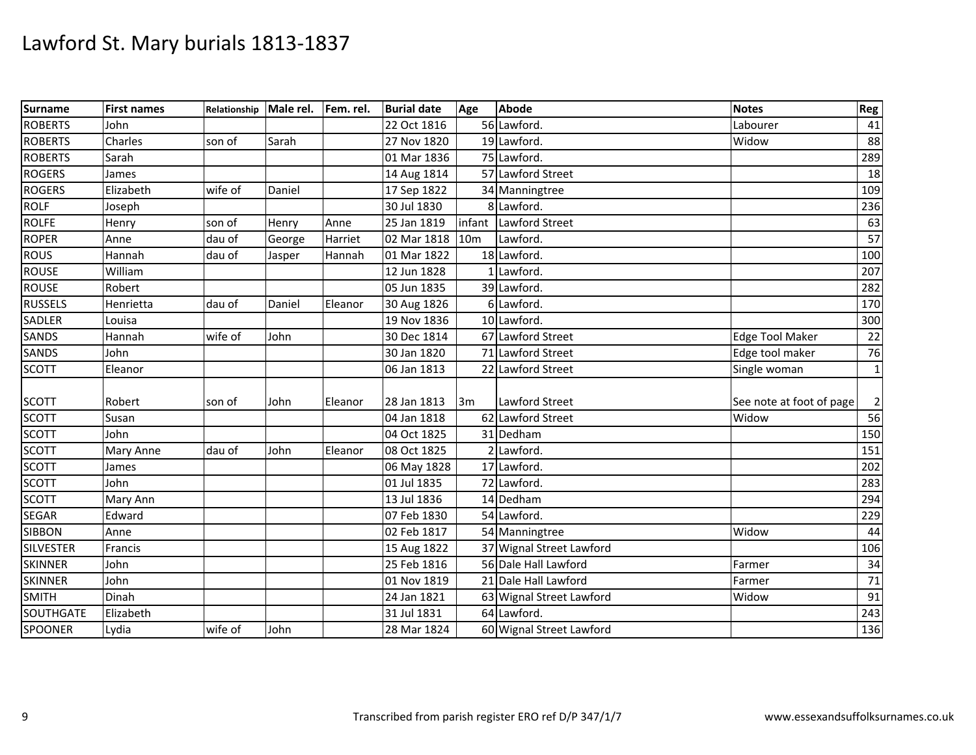| Surname          | <b>First names</b> | Relationship | Male rel. Fem. rel. |         | <b>Burial date</b> | Age        | Abode                    | <b>Notes</b>             | Reg         |
|------------------|--------------------|--------------|---------------------|---------|--------------------|------------|--------------------------|--------------------------|-------------|
| <b>ROBERTS</b>   | John               |              |                     |         | 22 Oct 1816        |            | 56 Lawford.              | Labourer                 | 41          |
| <b>ROBERTS</b>   | Charles            | son of       | Sarah               |         | 27 Nov 1820        |            | 19 Lawford.              | Widow                    | 88          |
| <b>ROBERTS</b>   | Sarah              |              |                     |         | 01 Mar 1836        |            | 75 Lawford.              |                          | 289         |
| <b>ROGERS</b>    | James              |              |                     |         | 14 Aug 1814        |            | 57 Lawford Street        |                          | 18          |
| <b>ROGERS</b>    | Elizabeth          | wife of      | Daniel              |         | 17 Sep 1822        |            | 34 Manningtree           |                          | 109         |
| <b>ROLF</b>      | Joseph             |              |                     |         | 30 Jul 1830        |            | 8 Lawford.               |                          | 236         |
| <b>ROLFE</b>     | Henry              | son of       | Henry               | Anne    | 25 Jan 1819        | infant     | Lawford Street           |                          | 63          |
| <b>ROPER</b>     | Anne               | dau of       | George              | Harriet | 02 Mar 1818        | <b>10m</b> | Lawford.                 |                          | 57          |
| <b>ROUS</b>      | Hannah             | dau of       | Jasper              | Hannah  | 01 Mar 1822        |            | 18 Lawford.              |                          | 100         |
| <b>ROUSE</b>     | William            |              |                     |         | 12 Jun 1828        |            | 1 Lawford.               |                          | 207         |
| <b>ROUSE</b>     | Robert             |              |                     |         | 05 Jun 1835        |            | 39 Lawford.              |                          | 282         |
| <b>RUSSELS</b>   | Henrietta          | dau of       | Daniel              | Eleanor | 30 Aug 1826        |            | 6 Lawford.               |                          | 170         |
| SADLER           | Louisa             |              |                     |         | 19 Nov 1836        |            | 10 Lawford.              |                          | 300         |
| <b>SANDS</b>     | Hannah             | wife of      | John                |         | 30 Dec 1814        |            | 67 Lawford Street        | <b>Edge Tool Maker</b>   | 22          |
| SANDS            | John               |              |                     |         | 30 Jan 1820        |            | 71 Lawford Street        | Edge tool maker          | 76          |
| <b>SCOTT</b>     | Eleanor            |              |                     |         | 06 Jan 1813        |            | 22 Lawford Street        | Single woman             | $\mathbf 1$ |
|                  |                    |              |                     |         |                    |            |                          |                          |             |
| <b>SCOTT</b>     | Robert             | son of       | John                | Eleanor | 28 Jan 1813        | 3m         | <b>Lawford Street</b>    | See note at foot of page |             |
| <b>SCOTT</b>     | Susan              |              |                     |         | 04 Jan 1818        |            | 62 Lawford Street        | Widow                    | 56          |
| <b>SCOTT</b>     | John               |              |                     |         | 04 Oct 1825        |            | 31 Dedham                |                          | 150         |
| <b>SCOTT</b>     | Mary Anne          | dau of       | John                | Eleanor | 08 Oct 1825        |            | 2 Lawford.               |                          | 151         |
| <b>SCOTT</b>     | James              |              |                     |         | 06 May 1828        |            | 17 Lawford.              |                          | 202         |
| <b>SCOTT</b>     | John               |              |                     |         | 01 Jul 1835        |            | 72 Lawford.              |                          | 283         |
| <b>SCOTT</b>     | Mary Ann           |              |                     |         | 13 Jul 1836        |            | 14 Dedham                |                          | 294         |
| <b>SEGAR</b>     | Edward             |              |                     |         | 07 Feb 1830        |            | 54 Lawford.              |                          | 229         |
| <b>SIBBON</b>    | Anne               |              |                     |         | 02 Feb 1817        |            | 54 Manningtree           | Widow                    | 44          |
| <b>SILVESTER</b> | Francis            |              |                     |         | 15 Aug 1822        |            | 37 Wignal Street Lawford |                          | 106         |
| <b>SKINNER</b>   | John               |              |                     |         | 25 Feb 1816        |            | 56 Dale Hall Lawford     | Farmer                   | 34          |
| <b>SKINNER</b>   | John               |              |                     |         | 01 Nov 1819        |            | 21 Dale Hall Lawford     | Farmer                   | 71          |
| <b>SMITH</b>     | Dinah              |              |                     |         | 24 Jan 1821        |            | 63 Wignal Street Lawford | Widow                    | 91          |
| SOUTHGATE        | Elizabeth          |              |                     |         | 31 Jul 1831        |            | 64 Lawford.              |                          | 243         |
| <b>SPOONER</b>   | Lydia              | wife of      | John                |         | 28 Mar 1824        |            | 60 Wignal Street Lawford |                          | 136         |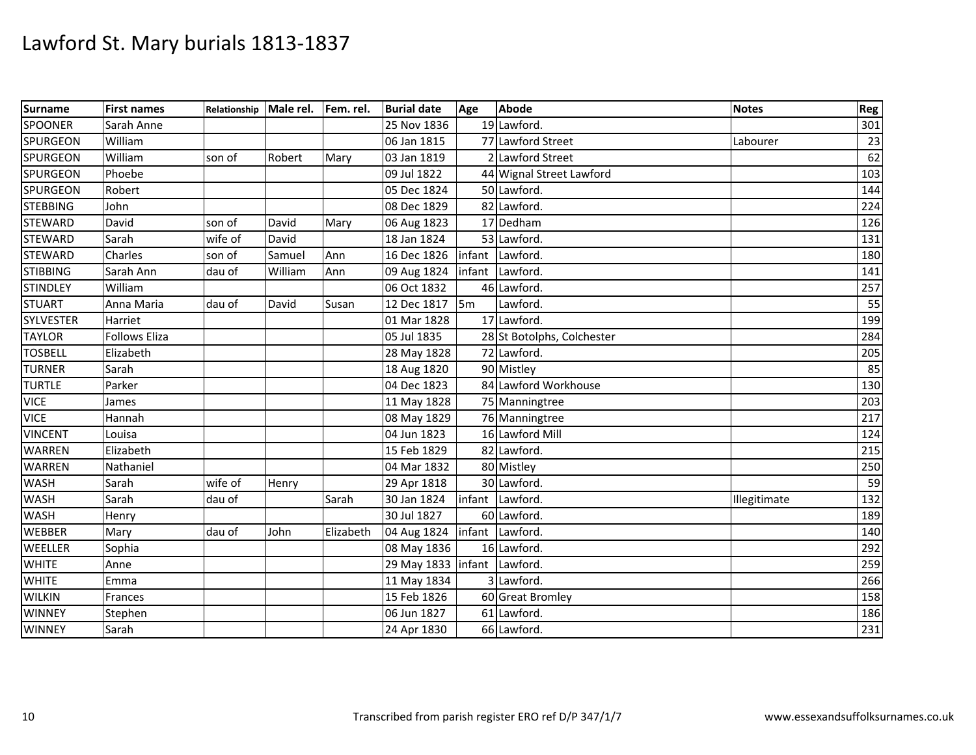| Surname          | <b>First names</b>   | Relationship | Male rel. Fem. rel. |           | <b>Burial date</b>            | Age            | <b>Abode</b>               | <b>Notes</b> | Reg |
|------------------|----------------------|--------------|---------------------|-----------|-------------------------------|----------------|----------------------------|--------------|-----|
| <b>SPOONER</b>   | Sarah Anne           |              |                     |           | 25 Nov 1836                   |                | 19 Lawford.                |              | 301 |
| <b>SPURGEON</b>  | William              |              |                     |           | 06 Jan 1815                   |                | 77 Lawford Street          | Labourer     | 23  |
| <b>SPURGEON</b>  | William              | son of       | Robert              | Mary      | 03 Jan 1819                   |                | 2 Lawford Street           |              | 62  |
| <b>SPURGEON</b>  | Phoebe               |              |                     |           | 09 Jul 1822                   |                | 44 Wignal Street Lawford   |              | 103 |
| <b>SPURGEON</b>  | Robert               |              |                     |           | 05 Dec 1824                   |                | 50 Lawford.                |              | 144 |
| <b>STEBBING</b>  | John                 |              |                     |           | 08 Dec 1829                   |                | 82 Lawford                 |              | 224 |
| <b>STEWARD</b>   | David                | son of       | David               | Mary      | 06 Aug 1823                   |                | 17 Dedham                  |              | 126 |
| <b>STEWARD</b>   | Sarah                | wife of      | David               |           | 18 Jan 1824                   |                | 53 Lawford.                |              | 131 |
| <b>STEWARD</b>   | Charles              | son of       | Samuel              | Ann       | 16 Dec 1826                   |                | infant Lawford.            |              | 180 |
| <b>STIBBING</b>  | Sarah Ann            | dau of       | William             | Ann       | 09 Aug 1824                   | infant         | Lawford.                   |              | 141 |
| <b>STINDLEY</b>  | William              |              |                     |           | 06 Oct 1832                   |                | 46 Lawford                 |              | 257 |
| <b>STUART</b>    | Anna Maria           | dau of       | David               | Susan     | 12 Dec 1817                   | 5 <sub>m</sub> | Lawford                    |              | 55  |
| <b>SYLVESTER</b> | Harriet              |              |                     |           | 01 Mar 1828                   |                | 17 Lawford.                |              | 199 |
| <b>TAYLOR</b>    | <b>Follows Eliza</b> |              |                     |           | 05 Jul 1835                   |                | 28 St Botolphs, Colchester |              | 284 |
| <b>TOSBELL</b>   | Elizabeth            |              |                     |           | 28 May 1828                   |                | 72 Lawford.                |              | 205 |
| <b>TURNER</b>    | Sarah                |              |                     |           | 18 Aug 1820                   |                | 90 Mistley                 |              | 85  |
| <b>TURTLE</b>    | Parker               |              |                     |           | 04 Dec 1823                   |                | 84 Lawford Workhouse       |              | 130 |
| <b>VICE</b>      | James                |              |                     |           | 11 May 1828                   |                | 75 Manningtree             |              | 203 |
| <b>VICE</b>      | Hannah               |              |                     |           | 08 May 1829                   |                | 76 Manningtree             |              | 217 |
| <b>VINCENT</b>   | Louisa               |              |                     |           | 04 Jun 1823                   |                | 16 Lawford Mill            |              | 124 |
| <b>WARREN</b>    | Elizabeth            |              |                     |           | 15 Feb 1829                   |                | 82 Lawford.                |              | 215 |
| <b>WARREN</b>    | Nathaniel            |              |                     |           | 04 Mar 1832                   |                | 80 Mistley                 |              | 250 |
| <b>WASH</b>      | Sarah                | wife of      | Henry               |           | 29 Apr 1818                   |                | 30 Lawford.                |              | 59  |
| <b>WASH</b>      | Sarah                | dau of       |                     | Sarah     | 30 Jan 1824                   |                | infant Lawford.            | Illegitimate | 132 |
| <b>WASH</b>      | Henry                |              |                     |           | 30 Jul 1827                   |                | 60 Lawford.                |              | 189 |
| <b>WEBBER</b>    | Mary                 | dau of       | John                | Elizabeth | 04 Aug 1824                   |                | infant Lawford             |              | 140 |
| WEELLER          | Sophia               |              |                     |           | 08 May 1836                   |                | 16 Lawford.                |              | 292 |
| <b>WHITE</b>     | Anne                 |              |                     |           | 29 May 1833   infant Lawford. |                |                            |              | 259 |
| <b>WHITE</b>     | Emma                 |              |                     |           | 11 May 1834                   |                | 3 Lawford.                 |              | 266 |
| <b>WILKIN</b>    | Frances              |              |                     |           | 15 Feb 1826                   |                | 60 Great Bromley           |              | 158 |
| <b>WINNEY</b>    | Stephen              |              |                     |           | 06 Jun 1827                   |                | 61 Lawford.                |              | 186 |
| <b>WINNEY</b>    | Sarah                |              |                     |           | 24 Apr 1830                   |                | 66 Lawford.                |              | 231 |